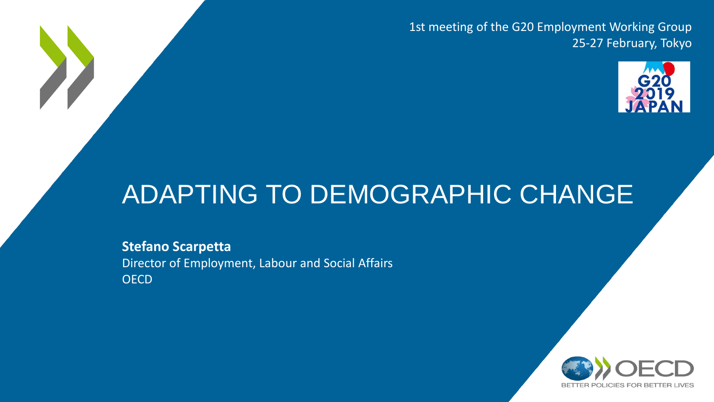1st meeting of the G20 Employment Working Group 25-27 February, Tokyo



## ADAPTING TO DEMOGRAPHIC CHANGE

**Stefano Scarpetta** Director of Employment, Labour and Social Affairs **OECD** 

X

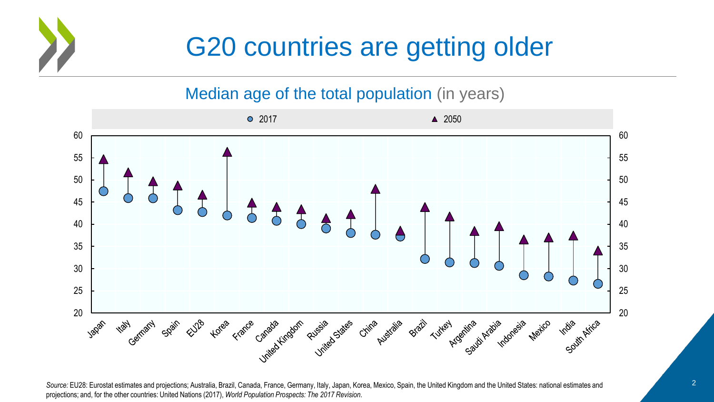

## G20 countries are getting older

#### Median age of the total population (in years)



Source: EU28: Eurostat estimates and projections; Australia, Brazil, Canada, France, Germany, Italy, Japan, Korea, Mexico, Spain, the United Kingdom and the United States: national estimates and projections; and, for the other countries: United Nations (2017), *World Population Prospects: The 2017 Revision*.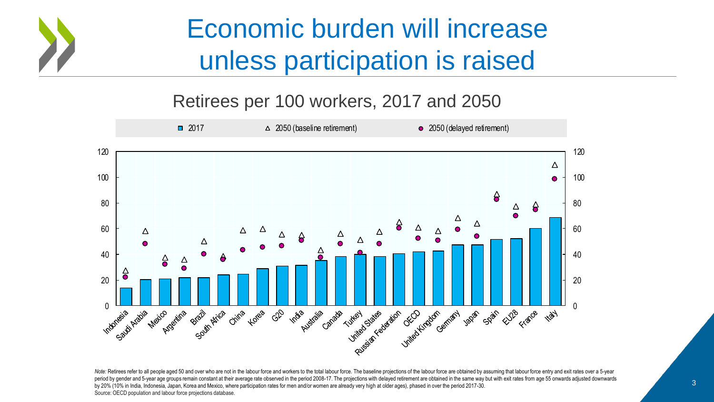

## Economic burden will increase unless participation is raised

#### Retirees per 100 workers, 2017 and 2050



period by gender and 5-year age groups remain constant at their average rate observed in the period 2008-17. The projections with delayed retirement are obtained in the same way but with exit rates from age 55 onwards adju Note: Retirees refer to all people aged 50 and over who are not in the labour force and workers to the total labour force. The baseline projections of the labour force are obtained by assuming that labour force entry and e by 20% (10% in India, Indonesia, Japan, Korea and Mexico, where participation rates for men and/or women are already very high at older ages), phased in over the period 2017-30. Source: OECD population and labour force projections database.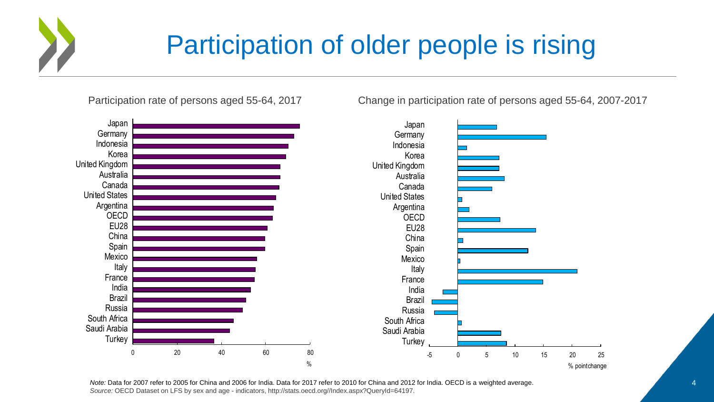

## Participation of older people is rising

Participation rate of persons aged 55-64, 2017 Change in participation rate of persons aged 55-64, 2007-2017

0 20 40 60 80 **Turkey** Saudi Arabia South Africa Russia Brazil India France Italy Mexico Spain China EU28 **OECD** Argentina United States Canada **Australia** United Kingdom Korea Indonesia **Germany** Japan -5 0 5 10 15 20 25 **Turkey** Saudi Arabia South Africa Russia Brazil India France Italy Mexico Spain China EU28 OECD Argentina United States Canada Australia United Kingdom Korea Indonesia **Germany** Japan % % point change

*Note:* Data for 2007 refer to 2005 for China and 2006 for India. Data for 2017 refer to 2010 for China and 2012 for India. OECD is a weighted average. *Source:* OECD Dataset on LFS by sex and age - indicators, http://stats.oecd.org//Index.aspx?QueryId=64197.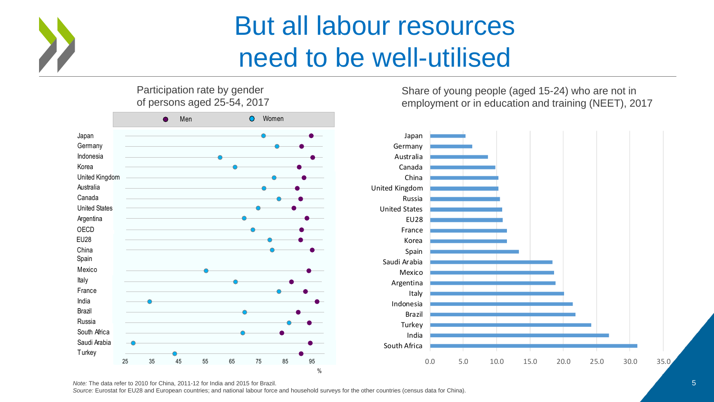

## But all labour resources need to be well-utilised

Participation rate by gender of persons aged 25-54, 2017



Share of young people (aged 15-24) who are not in employment or in education and training (NEET), 2017



*Source:* Eurostat for EU28 and European countries; and national labour force and household surveys for the other countries (census data for China).

*Note:* The data refer to 2010 for China, 2011-12 for India and 2015 for Brazil.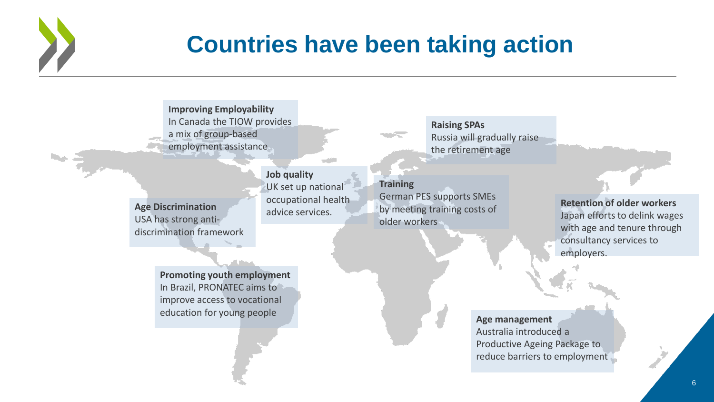

Ne al

#### **Countries have been taking action**

**Improving Employability** In Canada the TIOW provides a mix of group-based employment assistance

**Age Discrimination** USA has strong antidiscrimination framework **Job quality** UK set up national occupational health advice services.

**Raising SPAs** Russia will gradually raise the retirement age

**Training**  German PES supports SMEs by meeting training costs of older workers

**Retention of older workers** Japan efforts to delink wages with age and tenure through consultancy services to employers.

**Promoting youth employment**  In Brazil, PRONATEC aims to improve access to vocational education for young people

**Age management** Australia introduced a Productive Ageing Package to reduce barriers to employment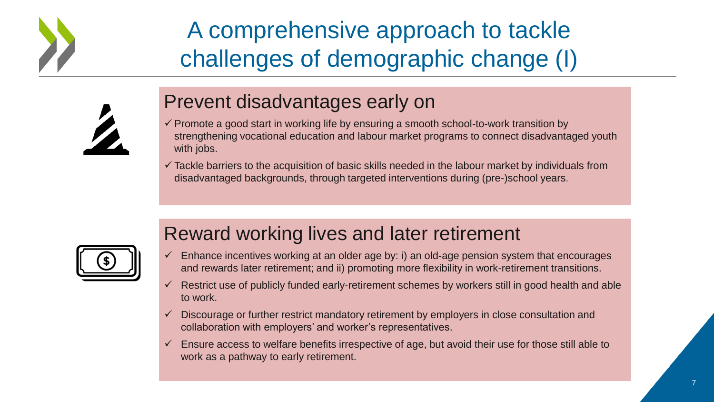

## A comprehensive approach to tackle challenges of demographic change (I)

#### Prevent disadvantages early on

- $\checkmark$  Promote a good start in working life by ensuring a smooth school-to-work transition by strengthening vocational education and labour market programs to connect disadvantaged youth with jobs.
- $\checkmark$  Tackle barriers to the acquisition of basic skills needed in the labour market by individuals from disadvantaged backgrounds, through targeted interventions during (pre-)school years.



#### Reward working lives and later retirement

- $\checkmark$  Enhance incentives working at an older age by: i) an old-age pension system that encourages and rewards later retirement; and ii) promoting more flexibility in work-retirement transitions.
- $\checkmark$  Restrict use of publicly funded early-retirement schemes by workers still in good health and able to work.
- $\checkmark$  Discourage or further restrict mandatory retirement by employers in close consultation and collaboration with employers' and worker's representatives.
- $\checkmark$  Ensure access to welfare benefits irrespective of age, but avoid their use for those still able to work as a pathway to early retirement.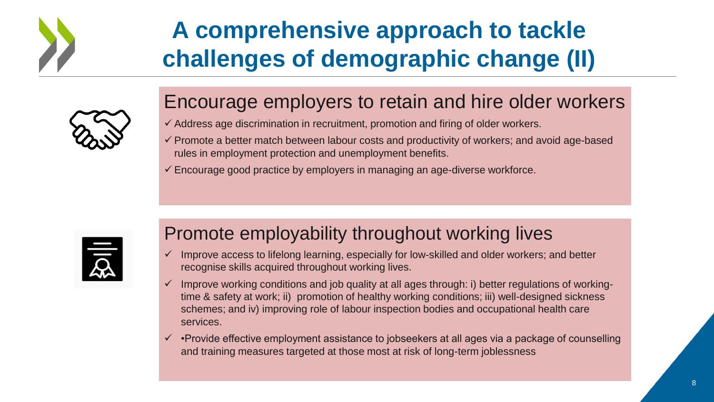

## **A comprehensive approach to tackle challenges of demographic change (II)**

#### Encourage employers to retain and hire older workers

- $\checkmark$  Address age discrimination in recruitment, promotion and firing of older workers.
- $\checkmark$  Promote a better match between labour costs and productivity of workers; and avoid age-based rules in employment protection and unemployment benefits.
- $\checkmark$  Encourage good practice by employers in managing an age-diverse workforce.



#### Promote employability throughout working lives

- $\checkmark$  Improve access to lifelong learning, especially for low-skilled and older workers; and better recognise skills acquired throughout working lives.
- $\checkmark$  Improve working conditions and job quality at all ages through: i) better regulations of workingtime & safety at work; ii) promotion of healthy working conditions; iii) well-designed sickness schemes; and iv) improving role of labour inspection bodies and occupational health care services.
- $\checkmark$  •Provide effective employment assistance to jobseekers at all ages via a package of counselling and training measures targeted at those most at risk of long-term joblessness